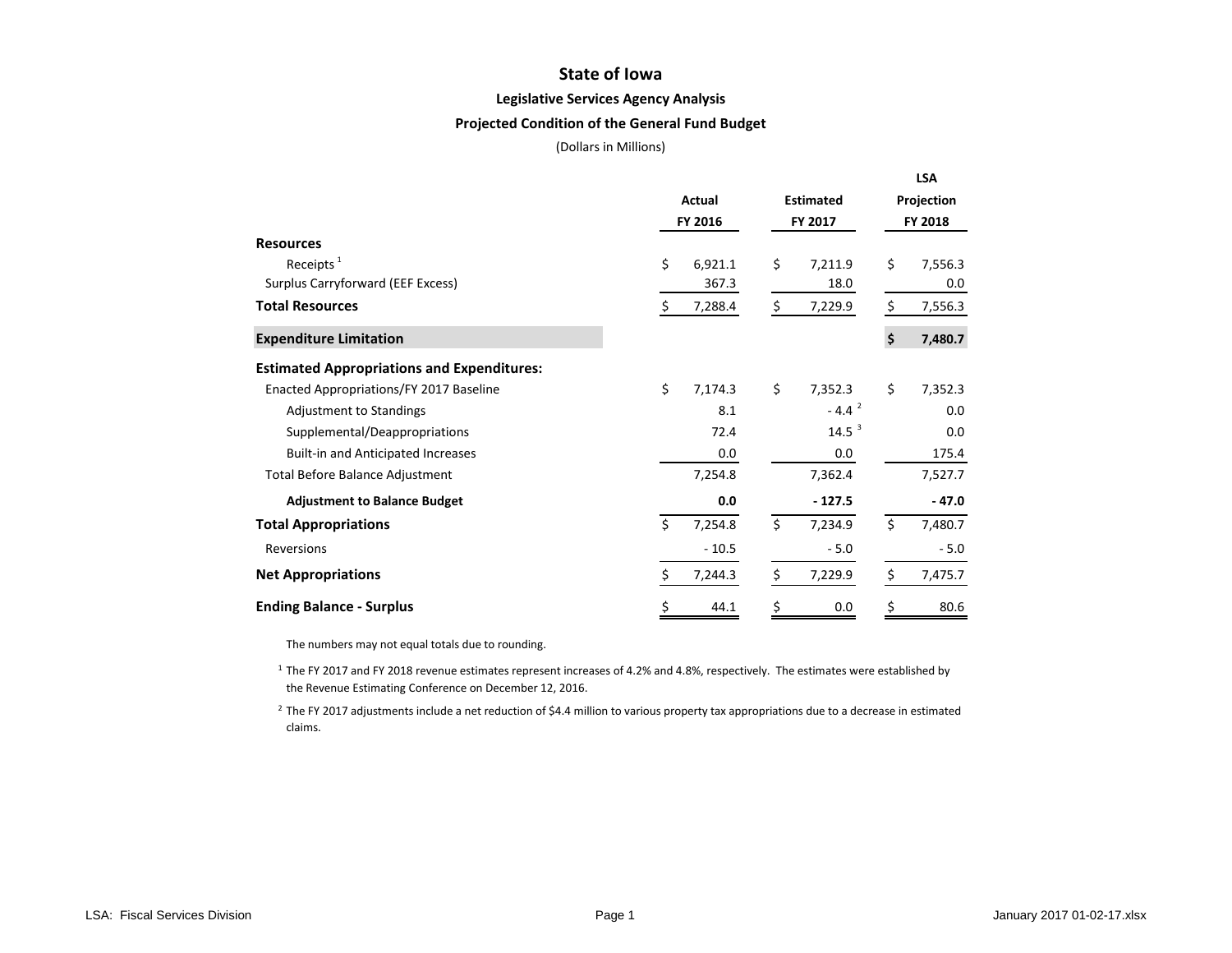## **State of Iowa**

#### **Legislative Services Agency Analysis**

### **Projected Condition of the General Fund Budget**

(Dollars in Millions)

|                                                   |    |         |                   | <b>LSA</b>    |
|---------------------------------------------------|----|---------|-------------------|---------------|
|                                                   |    | Actual  | <b>Estimated</b>  | Projection    |
|                                                   |    | FY 2016 | FY 2017           | FY 2018       |
| <b>Resources</b>                                  |    |         |                   |               |
| Receipts $1$                                      | \$ | 6,921.1 | \$<br>7,211.9     | \$<br>7,556.3 |
| Surplus Carryforward (EEF Excess)                 |    | 367.3   | 18.0              | 0.0           |
| <b>Total Resources</b>                            | \$ | 7,288.4 | \$<br>7,229.9     | \$<br>7,556.3 |
| <b>Expenditure Limitation</b>                     |    |         |                   | \$<br>7,480.7 |
| <b>Estimated Appropriations and Expenditures:</b> |    |         |                   |               |
| Enacted Appropriations/FY 2017 Baseline           | \$ | 7,174.3 | \$<br>7,352.3     | \$<br>7,352.3 |
| Adjustment to Standings                           |    | 8.1     | $-4.42$           | 0.0           |
| Supplemental/Deappropriations                     |    | 72.4    | 14.5 <sup>3</sup> | 0.0           |
| <b>Built-in and Anticipated Increases</b>         |    | 0.0     | 0.0               | 175.4         |
| Total Before Balance Adjustment                   |    | 7,254.8 | 7,362.4           | 7,527.7       |
| <b>Adjustment to Balance Budget</b>               |    | 0.0     | $-127.5$          | $-47.0$       |
| <b>Total Appropriations</b>                       | Ś  | 7,254.8 | \$<br>7,234.9     | \$<br>7,480.7 |
| Reversions                                        |    | $-10.5$ | $-5.0$            | $-5.0$        |
| <b>Net Appropriations</b>                         | \$ | 7,244.3 | \$<br>7,229.9     | \$<br>7,475.7 |
| <b>Ending Balance - Surplus</b>                   | \$ | 44.1    | \$<br>0.0         | \$<br>80.6    |

The numbers may not equal totals due to rounding.

<sup>1</sup> The FY 2017 and FY 2018 revenue estimates represent increases of 4.2% and 4.8%, respectively. The estimates were established by the Revenue Estimating Conference on December 12, 2016.

<sup>2</sup> The FY 2017 adjustments include a net reduction of \$4.4 million to various property tax appropriations due to a decrease in estimated claims.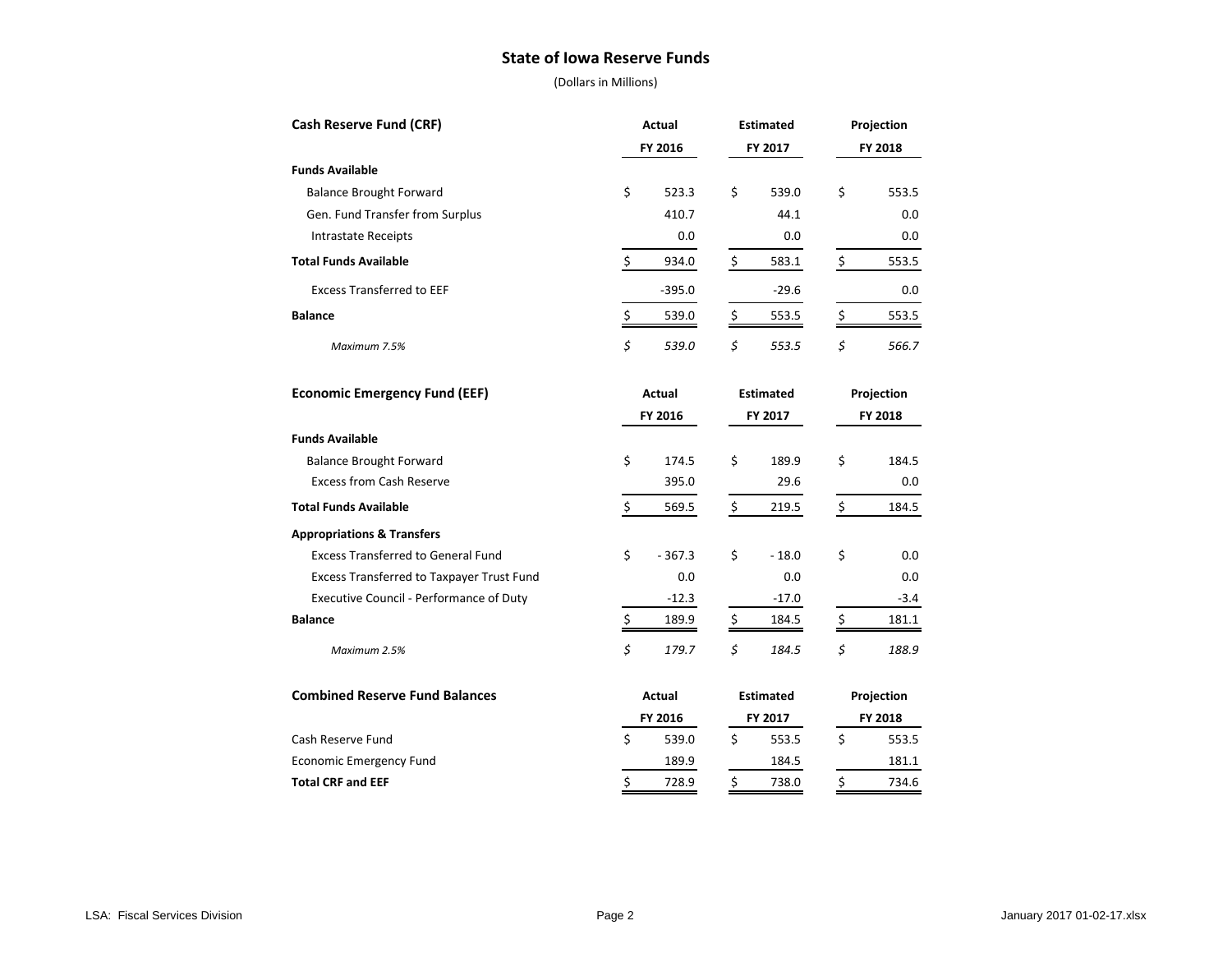## **State of Iowa Reserve Funds**

| <b>Cash Reserve Fund (CRF)</b><br>Actual         |                        | <b>Estimated</b>       | Projection             |  |  |
|--------------------------------------------------|------------------------|------------------------|------------------------|--|--|
|                                                  | FY 2016                | FY 2017                | FY 2018                |  |  |
| <b>Funds Available</b>                           |                        |                        |                        |  |  |
| <b>Balance Brought Forward</b>                   | \$<br>523.3            | \$<br>539.0            | \$<br>553.5            |  |  |
| Gen. Fund Transfer from Surplus                  | 410.7                  | 44.1                   | 0.0                    |  |  |
| <b>Intrastate Receipts</b>                       | 0.0                    | 0.0                    | 0.0                    |  |  |
| <b>Total Funds Available</b>                     | \$<br>934.0            | $\frac{1}{2}$<br>583.1 | $\frac{1}{2}$<br>553.5 |  |  |
| <b>Excess Transferred to EEF</b>                 | $-395.0$               | $-29.6$                | 0.0                    |  |  |
| <b>Balance</b>                                   | \$<br>539.0            | $\frac{1}{2}$<br>553.5 | \$<br>553.5            |  |  |
| Maximum 7.5%                                     | \$<br>539.0            | \$<br>553.5            | \$<br>566.7            |  |  |
| <b>Economic Emergency Fund (EEF)</b>             | Actual                 | <b>Estimated</b>       | Projection<br>FY 2018  |  |  |
|                                                  | FY 2016                | FY 2017                |                        |  |  |
| <b>Funds Available</b>                           |                        |                        |                        |  |  |
| <b>Balance Brought Forward</b>                   | \$<br>174.5            | \$<br>189.9            | \$<br>184.5            |  |  |
| <b>Excess from Cash Reserve</b>                  | 395.0                  | 29.6                   | 0.0                    |  |  |
| <b>Total Funds Available</b>                     | \$<br>569.5            | \$<br>219.5            | \$<br>184.5            |  |  |
| <b>Appropriations &amp; Transfers</b>            |                        |                        |                        |  |  |
| <b>Excess Transferred to General Fund</b>        | \$<br>$-367.3$         | \$<br>$-18.0$          | \$<br>0.0              |  |  |
| <b>Excess Transferred to Taxpayer Trust Fund</b> | 0.0                    | 0.0                    | 0.0                    |  |  |
| Executive Council - Performance of Duty          | $-12.3$                | $-17.0$                | $-3.4$                 |  |  |
| <b>Balance</b>                                   | $\frac{1}{2}$<br>189.9 | $\frac{1}{2}$<br>184.5 | \$<br>181.1            |  |  |
| Maximum 2.5%                                     | \$<br>179.7            | \$<br>184.5            | \$<br>188.9            |  |  |
| <b>Combined Reserve Fund Balances</b>            | Actual                 |                        | Projection             |  |  |
|                                                  | FY 2016                | FY 2017                | FY 2018                |  |  |
| Cash Reserve Fund                                | \$<br>539.0            | \$<br>553.5            | \$<br>553.5            |  |  |
| <b>Economic Emergency Fund</b>                   | 189.9                  | 184.5                  | 181.1                  |  |  |
| <b>Total CRF and EEF</b>                         | \$<br>728.9            | \$<br>738.0            | \$<br>734.6            |  |  |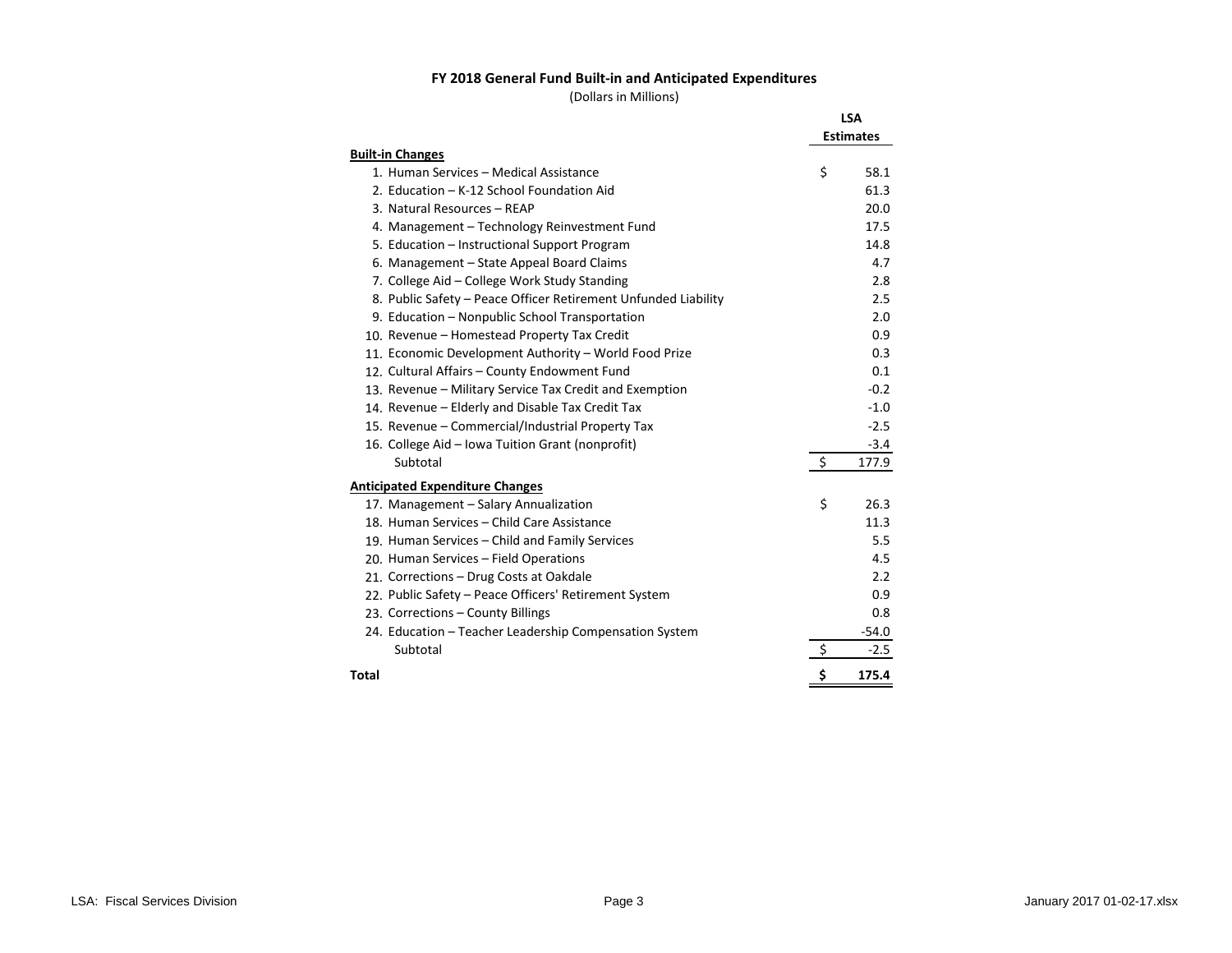### **FY 2018 General Fund Built-in and Anticipated Expenditures**

|                                                                | <b>LSA</b>                   |
|----------------------------------------------------------------|------------------------------|
|                                                                | <b>Estimates</b>             |
| <b>Built-in Changes</b>                                        |                              |
| 1. Human Services - Medical Assistance                         | \$<br>58.1                   |
| 2. Education - K-12 School Foundation Aid                      | 61.3                         |
| 3. Natural Resources - REAP                                    | 20.0                         |
| 4. Management - Technology Reinvestment Fund                   | 17.5                         |
| 5. Education - Instructional Support Program                   | 14.8                         |
| 6. Management – State Appeal Board Claims                      | 4.7                          |
| 7. College Aid – College Work Study Standing                   | 2.8                          |
| 8. Public Safety - Peace Officer Retirement Unfunded Liability | 2.5                          |
| 9. Education - Nonpublic School Transportation                 | 2.0                          |
| 10. Revenue - Homestead Property Tax Credit                    | 0.9                          |
| 11. Economic Development Authority - World Food Prize          | 0.3                          |
| 12. Cultural Affairs - County Endowment Fund                   | 0.1                          |
| 13. Revenue - Military Service Tax Credit and Exemption        | $-0.2$                       |
| 14. Revenue – Elderly and Disable Tax Credit Tax               | $-1.0$                       |
| 15. Revenue - Commercial/Industrial Property Tax               | $-2.5$                       |
| 16. College Aid - Iowa Tuition Grant (nonprofit)               | $-3.4$                       |
| Subtotal                                                       | $\ddot{\mathsf{S}}$<br>177.9 |
| <b>Anticipated Expenditure Changes</b>                         |                              |
| 17. Management - Salary Annualization                          | \$<br>26.3                   |
| 18. Human Services - Child Care Assistance                     | 11.3                         |
| 19. Human Services - Child and Family Services                 | 5.5                          |
| 20. Human Services - Field Operations                          | 4.5                          |
| 21. Corrections - Drug Costs at Oakdale                        | 2.2                          |
| 22. Public Safety – Peace Officers' Retirement System          | 0.9                          |
| 23. Corrections - County Billings                              | 0.8                          |
| 24. Education – Teacher Leadership Compensation System         | $-54.0$                      |
| Subtotal                                                       | \$<br>$-2.5$                 |
| Total                                                          | \$<br>175.4                  |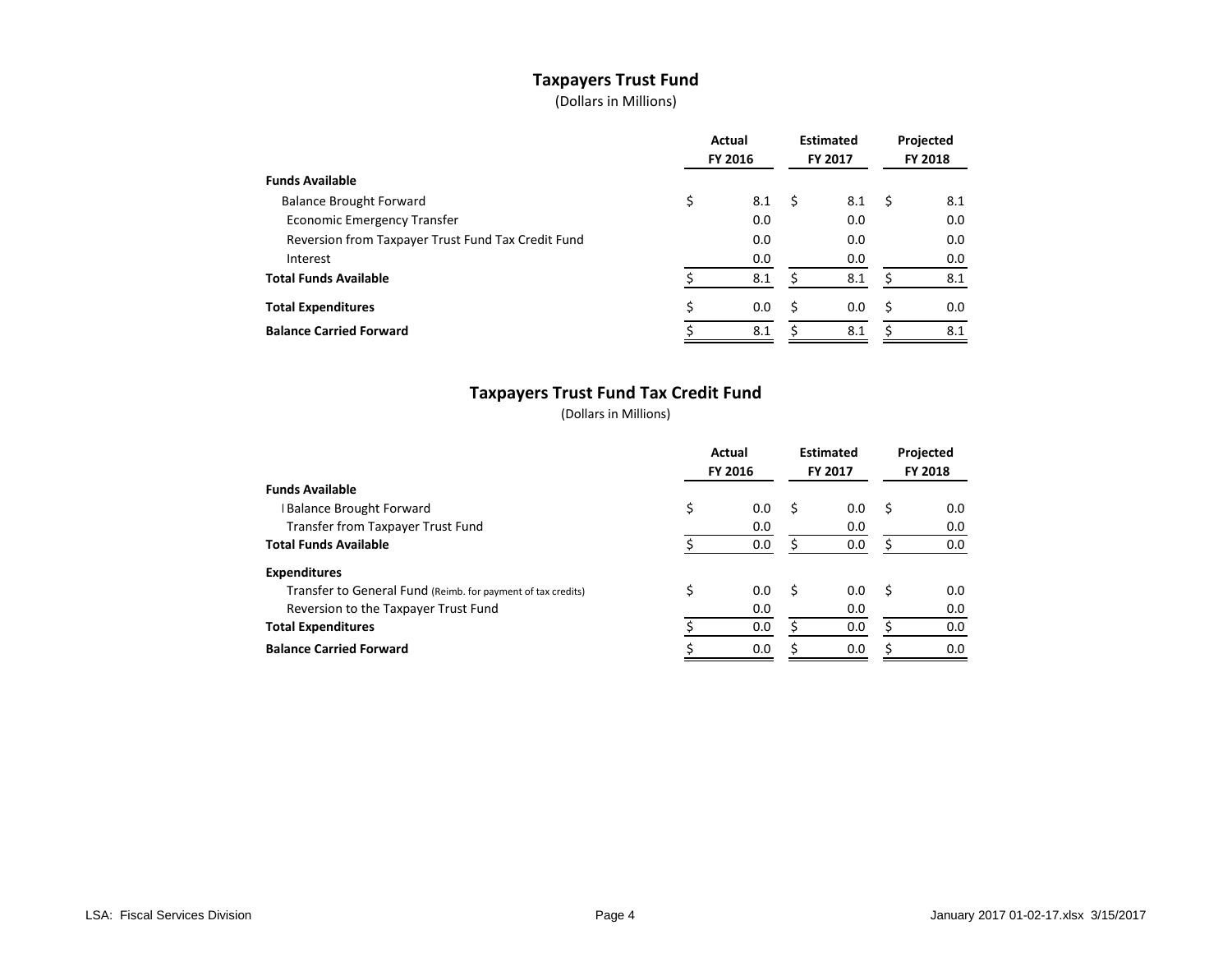# **Taxpayers Trust Fund**

(Dollars in Millions)

|                                                    | Actual<br>FY 2016 |     | <b>Estimated</b><br>FY 2017 |     | Projected<br><b>FY 2018</b> |     |
|----------------------------------------------------|-------------------|-----|-----------------------------|-----|-----------------------------|-----|
| <b>Funds Available</b>                             |                   |     |                             |     |                             |     |
| <b>Balance Brought Forward</b>                     | \$                | 8.1 | S                           | 8.1 | S                           | 8.1 |
| <b>Economic Emergency Transfer</b>                 |                   | 0.0 |                             | 0.0 |                             | 0.0 |
| Reversion from Taxpayer Trust Fund Tax Credit Fund |                   | 0.0 |                             | 0.0 |                             | 0.0 |
| Interest                                           |                   | 0.0 |                             | 0.0 |                             | 0.0 |
| <b>Total Funds Available</b>                       |                   | 8.1 |                             | 8.1 |                             | 8.1 |
| <b>Total Expenditures</b>                          |                   | 0.0 | S                           | 0.0 | S                           | 0.0 |
| <b>Balance Carried Forward</b>                     |                   | 8.1 |                             | 8.1 |                             | 8.1 |

# **Taxpayers Trust Fund Tax Credit Fund**

|                                                              | Actual<br>FY 2016 |     | <b>Estimated</b><br><b>FY 2017</b> |     | Projected<br><b>FY 2018</b> |     |
|--------------------------------------------------------------|-------------------|-----|------------------------------------|-----|-----------------------------|-----|
| <b>Funds Available</b>                                       |                   |     |                                    |     |                             |     |
| <b>Balance Brought Forward</b>                               | \$                | 0.0 | S                                  | 0.0 | S                           | 0.0 |
| Transfer from Taxpayer Trust Fund                            |                   | 0.0 |                                    | 0.0 |                             | 0.0 |
| <b>Total Funds Available</b>                                 |                   | 0.0 |                                    | 0.0 |                             | 0.0 |
| <b>Expenditures</b>                                          |                   |     |                                    |     |                             |     |
| Transfer to General Fund (Reimb. for payment of tax credits) |                   | 0.0 | S                                  | 0.0 | - \$                        | 0.0 |
| Reversion to the Taxpayer Trust Fund                         |                   | 0.0 |                                    | 0.0 |                             | 0.0 |
| <b>Total Expenditures</b>                                    |                   | 0.0 |                                    | 0.0 |                             | 0.0 |
| <b>Balance Carried Forward</b>                               |                   | 0.0 | ς                                  | 0.0 |                             | 0.0 |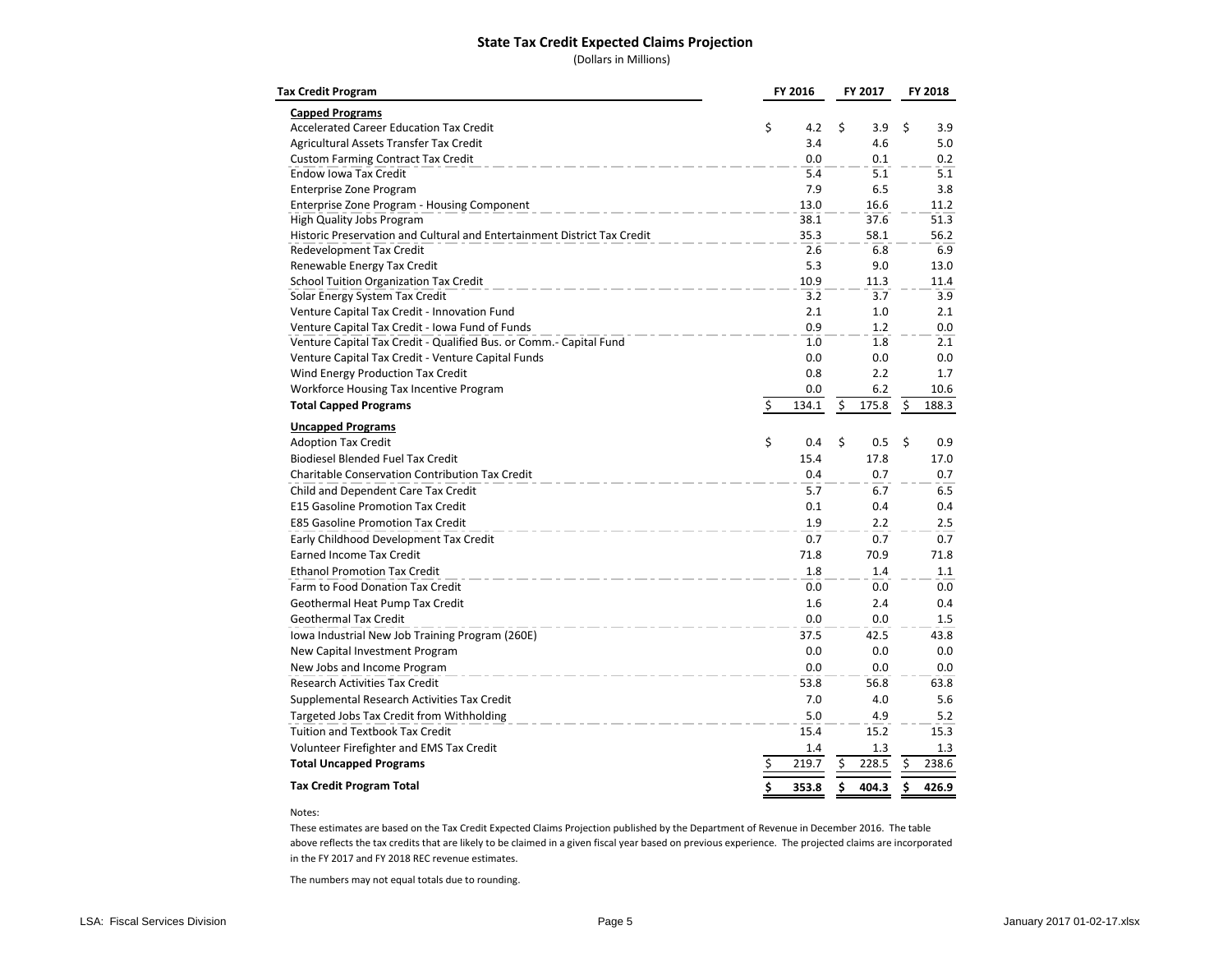#### **State Tax Credit Expected Claims Projection**

(Dollars in Millions)

| <b>Tax Credit Program</b>                                                | FY 2016<br>FY 2017 |       |    | FY 2018 |    |       |
|--------------------------------------------------------------------------|--------------------|-------|----|---------|----|-------|
| <b>Capped Programs</b>                                                   |                    |       |    |         |    |       |
| <b>Accelerated Career Education Tax Credit</b>                           | \$                 | 4.2   | \$ | 3.9     | \$ | 3.9   |
| Agricultural Assets Transfer Tax Credit                                  |                    | 3.4   |    | 4.6     |    | 5.0   |
| <b>Custom Farming Contract Tax Credit</b>                                |                    | 0.0   |    | 0.1     |    | 0.2   |
| Endow Iowa Tax Credit                                                    |                    | 5.4   |    | 5.1     |    | 5.1   |
| <b>Enterprise Zone Program</b>                                           |                    | 7.9   |    | 6.5     |    | 3.8   |
| Enterprise Zone Program - Housing Component                              |                    | 13.0  |    | 16.6    |    | 11.2  |
| High Quality Jobs Program                                                |                    | 38.1  |    | 37.6    |    | 51.3  |
| Historic Preservation and Cultural and Entertainment District Tax Credit |                    | 35.3  |    | 58.1    |    | 56.2  |
| Redevelopment Tax Credit                                                 |                    | 2.6   |    | 6.8     |    | 6.9   |
| Renewable Energy Tax Credit                                              |                    | 5.3   |    | 9.0     |    | 13.0  |
| School Tuition Organization Tax Credit                                   |                    | 10.9  |    | 11.3    |    | 11.4  |
| Solar Energy System Tax Credit                                           |                    | 3.2   |    | 3.7     |    | 3.9   |
| Venture Capital Tax Credit - Innovation Fund                             |                    | 2.1   |    | 1.0     |    | 2.1   |
| Venture Capital Tax Credit - Iowa Fund of Funds                          |                    | 0.9   |    | 1.2     |    | 0.0   |
| Venture Capital Tax Credit - Qualified Bus. or Comm. - Capital Fund      |                    | 1.0   |    | 1.8     |    | 2.1   |
| Venture Capital Tax Credit - Venture Capital Funds                       |                    | 0.0   |    | 0.0     |    | 0.0   |
| Wind Energy Production Tax Credit                                        |                    | 0.8   |    | 2.2     |    | 1.7   |
| Workforce Housing Tax Incentive Program                                  |                    | 0.0   |    | 6.2     |    | 10.6  |
| <b>Total Capped Programs</b>                                             | \$                 | 134.1 | \$ | 175.8   | \$ | 188.3 |
| <b>Uncapped Programs</b>                                                 |                    |       |    |         |    |       |
| <b>Adoption Tax Credit</b>                                               | \$                 | 0.4   | \$ | 0.5     | \$ | 0.9   |
| <b>Biodiesel Blended Fuel Tax Credit</b>                                 |                    | 15.4  |    | 17.8    |    | 17.0  |
| <b>Charitable Conservation Contribution Tax Credit</b>                   |                    | 0.4   |    | 0.7     |    | 0.7   |
| Child and Dependent Care Tax Credit                                      |                    | 5.7   |    | 6.7     |    | 6.5   |
| <b>E15 Gasoline Promotion Tax Credit</b>                                 |                    | 0.1   |    | 0.4     |    | 0.4   |
| <b>E85 Gasoline Promotion Tax Credit</b>                                 |                    | 1.9   |    | 2.2     |    | 2.5   |
| Early Childhood Development Tax Credit                                   |                    | 0.7   |    | 0.7     |    | 0.7   |
| <b>Earned Income Tax Credit</b>                                          |                    | 71.8  |    | 70.9    |    | 71.8  |
| <b>Ethanol Promotion Tax Credit</b>                                      |                    | 1.8   |    | 1.4     |    | 1.1   |
| Farm to Food Donation Tax Credit                                         |                    | 0.0   |    | 0.0     |    | 0.0   |
| Geothermal Heat Pump Tax Credit                                          |                    | 1.6   |    | 2.4     |    | 0.4   |
| <b>Geothermal Tax Credit</b>                                             |                    | 0.0   |    | 0.0     |    | 1.5   |
| Iowa Industrial New Job Training Program (260E)                          |                    | 37.5  |    | 42.5    |    | 43.8  |
| New Capital Investment Program                                           |                    | 0.0   |    | 0.0     |    | 0.0   |
| New Jobs and Income Program                                              |                    | 0.0   |    | 0.0     |    | 0.0   |
| Research Activities Tax Credit                                           |                    | 53.8  |    | 56.8    |    | 63.8  |
| Supplemental Research Activities Tax Credit                              |                    | 7.0   |    | 4.0     |    | 5.6   |
| Targeted Jobs Tax Credit from Withholding                                |                    | 5.0   |    | 4.9     |    | 5.2   |
| Tuition and Textbook Tax Credit                                          |                    | 15.4  |    | 15.2    |    | 15.3  |
| Volunteer Firefighter and EMS Tax Credit                                 |                    | 1.4   |    | 1.3     |    | 1.3   |
| <b>Total Uncapped Programs</b>                                           | \$                 | 219.7 | \$ | 228.5   | \$ | 238.6 |
| <b>Tax Credit Program Total</b>                                          | \$                 | 353.8 | \$ | 404.3   | \$ | 426.9 |
|                                                                          |                    |       |    |         |    |       |

#### Notes:

These estimates are based on the Tax Credit Expected Claims Projection published by the Department of Revenue in December 2016. The table above reflects the tax credits that are likely to be claimed in a given fiscal year based on previous experience. The projected claims are incorporated in the FY 2017 and FY 2018 REC revenue estimates.

The numbers may not equal totals due to rounding.